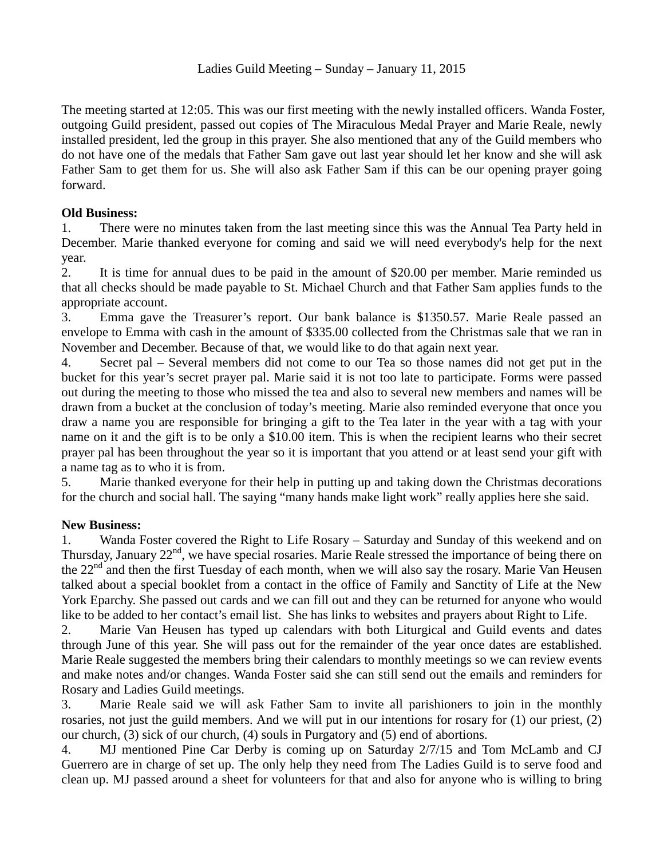The meeting started at 12:05. This was our first meeting with the newly installed officers. Wanda Foster, outgoing Guild president, passed out copies of The Miraculous Medal Prayer and Marie Reale, newly installed president, led the group in this prayer. She also mentioned that any of the Guild members who do not have one of the medals that Father Sam gave out last year should let her know and she will ask Father Sam to get them for us. She will also ask Father Sam if this can be our opening prayer going forward.

## **Old Business:**

1. There were no minutes taken from the last meeting since this was the Annual Tea Party held in December. Marie thanked everyone for coming and said we will need everybody's help for the next year.

2. It is time for annual dues to be paid in the amount of \$20.00 per member. Marie reminded us that all checks should be made payable to St. Michael Church and that Father Sam applies funds to the appropriate account.

3. Emma gave the Treasurer's report. Our bank balance is \$1350.57. Marie Reale passed an envelope to Emma with cash in the amount of \$335.00 collected from the Christmas sale that we ran in November and December. Because of that, we would like to do that again next year.

4. Secret pal – Several members did not come to our Tea so those names did not get put in the bucket for this year's secret prayer pal. Marie said it is not too late to participate. Forms were passed out during the meeting to those who missed the tea and also to several new members and names will be drawn from a bucket at the conclusion of today's meeting. Marie also reminded everyone that once you draw a name you are responsible for bringing a gift to the Tea later in the year with a tag with your name on it and the gift is to be only a \$10.00 item. This is when the recipient learns who their secret prayer pal has been throughout the year so it is important that you attend or at least send your gift with a name tag as to who it is from.

5. Marie thanked everyone for their help in putting up and taking down the Christmas decorations for the church and social hall. The saying "many hands make light work" really applies here she said.

## **New Business:**

1. Wanda Foster covered the Right to Life Rosary – Saturday and Sunday of this weekend and on Thursday, January  $22<sup>nd</sup>$ , we have special rosaries. Marie Reale stressed the importance of being there on the  $22<sup>nd</sup>$  and then the first Tuesday of each month, when we will also say the rosary. Marie Van Heusen talked about a special booklet from a contact in the office of Family and Sanctity of Life at the New York Eparchy. She passed out cards and we can fill out and they can be returned for anyone who would like to be added to her contact's email list. She has links to websites and prayers about Right to Life.

2. Marie Van Heusen has typed up calendars with both Liturgical and Guild events and dates through June of this year. She will pass out for the remainder of the year once dates are established. Marie Reale suggested the members bring their calendars to monthly meetings so we can review events and make notes and/or changes. Wanda Foster said she can still send out the emails and reminders for Rosary and Ladies Guild meetings.

3. Marie Reale said we will ask Father Sam to invite all parishioners to join in the monthly rosaries, not just the guild members. And we will put in our intentions for rosary for (1) our priest, (2) our church, (3) sick of our church, (4) souls in Purgatory and (5) end of abortions.

4. MJ mentioned Pine Car Derby is coming up on Saturday 2/7/15 and Tom McLamb and CJ Guerrero are in charge of set up. The only help they need from The Ladies Guild is to serve food and clean up. MJ passed around a sheet for volunteers for that and also for anyone who is willing to bring